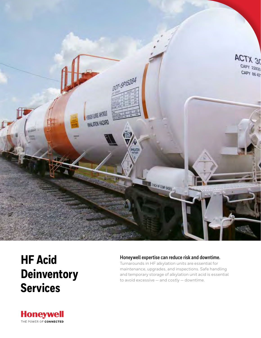

# **HF Acid Deinventory Services**

## **Honeywell expertise can reduce risk and downtime.**

Turnarounds in HF alkylation units are essential for maintenance, upgrades, and inspections. Safe handling and temporary storage of alkylation unit acid is essential to avoid excessive — and costly — downtime.